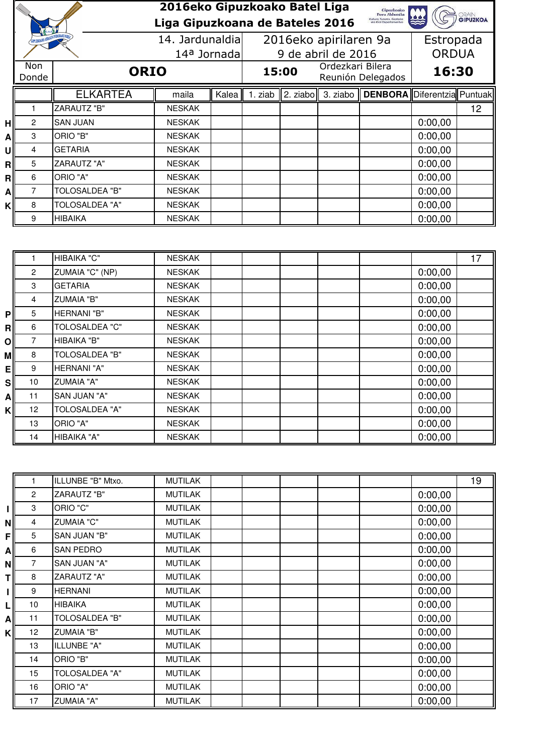|    |                                        |                       | 2016eko Gipuzkoako Batel Liga<br>Liga Gipuzkoana de Bateles 2016 |       |                    |  |                                       | Gipuzkoako<br>Foru Aldundia<br>Kutura, Turismo, Gazteria<br>eta Kitol Deparlamentua |           | <b>GRAIN</b><br><b>GIPUZKOA</b> |
|----|----------------------------------------|-----------------------|------------------------------------------------------------------|-------|--------------------|--|---------------------------------------|-------------------------------------------------------------------------------------|-----------|---------------------------------|
|    | <b>GIPUZKOAKO ARRAIN FEDERAKUNZIEN</b> |                       | 14. Jardunaldial                                                 |       |                    |  | 2016eko apirilaren 9a                 |                                                                                     | Estropada |                                 |
|    |                                        |                       | 14 <sup>a</sup> Jornada                                          |       | 9 de abril de 2016 |  |                                       | <b>ORDUA</b>                                                                        |           |                                 |
|    | Non.<br><b>ORIO</b><br>Donde           |                       |                                                                  |       | 15:00              |  | Ordezkari Bilera<br>Reunión Delegados |                                                                                     | 16:30     |                                 |
|    |                                        | <b>ELKARTEA</b>       | maila                                                            | Kalea | 1. ziab            |  |                                       | 2. ziabo 3. ziabo   DENBORA Diferentzia Puntuak                                     |           |                                 |
|    |                                        | <b>ZARAUTZ "B"</b>    | <b>NESKAK</b>                                                    |       |                    |  |                                       |                                                                                     |           | 12                              |
| нl | 2                                      | <b>SAN JUAN</b>       | <b>NESKAK</b>                                                    |       |                    |  |                                       |                                                                                     | 0:00,00   |                                 |
| A  | 3                                      | ORIO "B"              | <b>NESKAK</b>                                                    |       |                    |  |                                       |                                                                                     | 0:00,00   |                                 |
| υl | 4                                      | <b>GETARIA</b>        | <b>NESKAK</b>                                                    |       |                    |  |                                       |                                                                                     | 0:00,00   |                                 |
| Rl | 5                                      | <b>ZARAUTZ "A"</b>    | <b>NESKAK</b>                                                    |       |                    |  |                                       |                                                                                     | 0:00,00   |                                 |
| Rl | 6                                      | ORIO "A"              | <b>NESKAK</b>                                                    |       |                    |  |                                       |                                                                                     | 0:00,00   |                                 |
| Al | 7                                      | TOLOSALDEA "B"        | <b>NESKAK</b>                                                    |       |                    |  |                                       |                                                                                     | 0:00,00   |                                 |
| κI | 8                                      | <b>TOLOSALDEA "A"</b> | <b>NESKAK</b>                                                    |       |                    |  |                                       |                                                                                     | 0:00,00   |                                 |
|    | 9                                      | HIBAIKA               | <b>NESKAK</b>                                                    |       |                    |  |                                       |                                                                                     | 0:00,00   |                                 |

|                |                | HIBAIKA "C"           | <b>NESKAK</b> |  |         | 17 |
|----------------|----------------|-----------------------|---------------|--|---------|----|
|                | $\overline{2}$ | ZUMAIA "C" (NP)       | <b>NESKAK</b> |  | 0:00,00 |    |
|                | 3              | <b>GETARIA</b>        | <b>NESKAK</b> |  | 0:00,00 |    |
|                | $\overline{4}$ | <b>ZUMAIA "B"</b>     | <b>NESKAK</b> |  | 0:00,00 |    |
| P <sub>1</sub> | 5              | HERNANI "B"           | <b>NESKAK</b> |  | 0:00,00 |    |
| R              | 6              | <b>TOLOSALDEA "C"</b> | <b>NESKAK</b> |  | 0:00,00 |    |
| $\mathsf{O}$   | 7              | HIBAIKA "B"           | <b>NESKAK</b> |  | 0:00,00 |    |
| мl             | 8              | <b>TOLOSALDEA "B"</b> | <b>NESKAK</b> |  | 0:00,00 |    |
| ΕI             | 9              | HERNANI "A"           | <b>NESKAK</b> |  | 0:00,00 |    |
| sl             | 10             | <b>ZUMAIA "A"</b>     | <b>NESKAK</b> |  | 0:00,00 |    |
| Αl             | 11             | SAN JUAN "A"          | <b>NESKAK</b> |  | 0:00,00 |    |
| κI             | 12             | <b>TOLOSALDEA "A"</b> | <b>NESKAK</b> |  | 0:00,00 |    |
|                | 13             | ORIO "A"              | <b>NESKAK</b> |  | 0:00,00 |    |
|                | 14             | HIBAIKA "A"           | <b>NESKAK</b> |  | 0:00,00 |    |

|     |                | ILLUNBE "B" Mtxo.     | <b>MUTILAK</b> |  |  |         | 19 |
|-----|----------------|-----------------------|----------------|--|--|---------|----|
|     | $\overline{2}$ | <b>ZARAUTZ "B"</b>    | <b>MUTILAK</b> |  |  | 0:00,00 |    |
| lΜ  | 3              | ORIO "C"              | <b>MUTILAK</b> |  |  | 0:00,00 |    |
| ΝI  | 4              | <b>ZUMAIA "C"</b>     | <b>MUTILAK</b> |  |  | 0:00,00 |    |
| FII | 5              | SAN JUAN "B"          | <b>MUTILAK</b> |  |  | 0:00,00 |    |
| ΑI  | 6              | <b>SAN PEDRO</b>      | <b>MUTILAK</b> |  |  | 0:00,00 |    |
| ΝI  | 7              | SAN JUAN "A"          | <b>MUTILAK</b> |  |  | 0:00,00 |    |
| Τl  | 8              | <b>ZARAUTZ "A"</b>    | <b>MUTILAK</b> |  |  | 0:00,00 |    |
|     | 9              | <b>HERNANI</b>        | <b>MUTILAK</b> |  |  | 0:00,00 |    |
| LI  | 10             | <b>HIBAIKA</b>        | <b>MUTILAK</b> |  |  | 0:00,00 |    |
| ΑI  | 11             | <b>TOLOSALDEA "B"</b> | <b>MUTILAK</b> |  |  | 0:00,00 |    |
| κI  | 12             | <b>ZUMAIA "B"</b>     | <b>MUTILAK</b> |  |  | 0:00,00 |    |
|     | 13             | ILLUNBE "A"           | <b>MUTILAK</b> |  |  | 0:00,00 |    |
|     | 14             | ORIO "B"              | <b>MUTILAK</b> |  |  | 0:00,00 |    |
|     | 15             | <b>TOLOSALDEA "A"</b> | <b>MUTILAK</b> |  |  | 0:00,00 |    |
|     | 16             | ORIO "A"              | <b>MUTILAK</b> |  |  | 0:00,00 |    |
|     | 17             | <b>ZUMAIA "A"</b>     | <b>MUTILAK</b> |  |  | 0:00,00 |    |